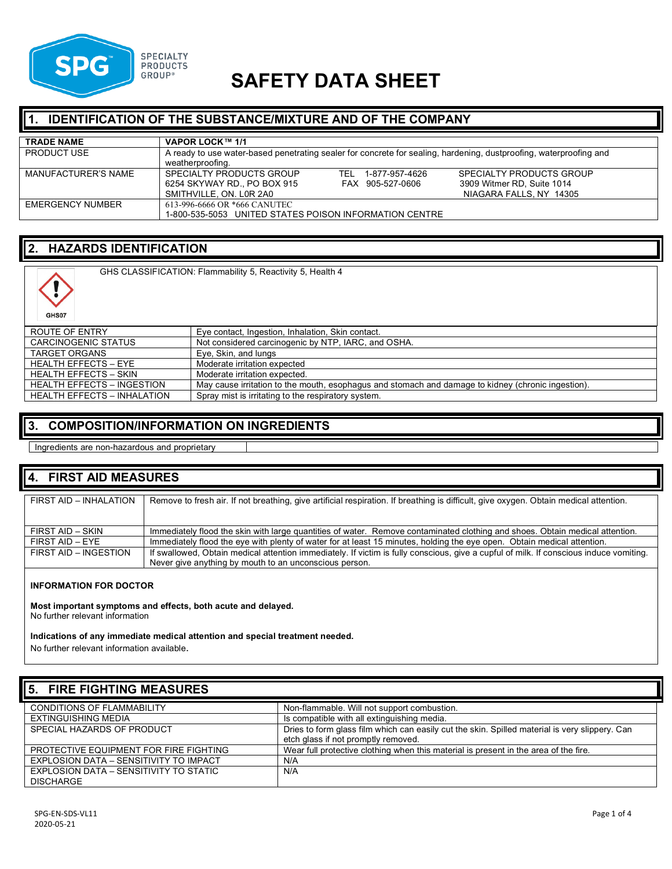

# **SAFETY DATA SHEET**

### **IDENTIFICATION OF THE SUBSTANCE/MIXTURE AND OF THE COMPANY**

| <b>TRADE NAME</b>       | VAPOR LOCK™ 1/1                                                                                                    |                            |
|-------------------------|--------------------------------------------------------------------------------------------------------------------|----------------------------|
| <b>PRODUCT USE</b>      | A ready to use water-based penetrating sealer for concrete for sealing, hardening, dustproofing, waterproofing and |                            |
|                         | weatherproofing.                                                                                                   |                            |
| MANUFACTURER'S NAME     | SPECIALTY PRODUCTS GROUP<br>1-877-957-4626<br>TFL.                                                                 | SPECIALTY PRODUCTS GROUP   |
|                         | 6254 SKYWAY RD., PO BOX 915<br>FAX 905-527-0606                                                                    | 3909 Witmer RD, Suite 1014 |
|                         | SMITHVILLE, ON, L0R 2A0                                                                                            | NIAGARA FALLS, NY 14305    |
| <b>EMERGENCY NUMBER</b> | 613-996-6666 OR *666 CANUTEC                                                                                       |                            |
|                         | 1-800-535-5053 UNITED STATES POISON INFORMATION CENTRE                                                             |                            |

### **2. HAZARDS IDENTIFICATION**

| GHS07                              | GHS CLASSIFICATION: Flammability 5, Reactivity 5, Health 4                                         |
|------------------------------------|----------------------------------------------------------------------------------------------------|
| ROUTE OF ENTRY                     | Eye contact, Ingestion, Inhalation, Skin contact.                                                  |
| CARCINOGENIC STATUS                | Not considered carcinogenic by NTP, IARC, and OSHA.                                                |
| <b>TARGET ORGANS</b>               | Eye, Skin, and lungs                                                                               |
| <b>HEALTH EFFECTS - EYE</b>        | Moderate irritation expected                                                                       |
| <b>HEALTH EFFECTS - SKIN</b>       | Moderate irritation expected.                                                                      |
| <b>HEALTH EFFECTS - INGESTION</b>  | May cause irritation to the mouth, esophagus and stomach and damage to kidney (chronic ingestion). |
| <b>HEALTH EFFECTS - INHALATION</b> | Spray mist is irritating to the respiratory system.                                                |

### **3. COMPOSITION/INFORMATION ON INGREDIENTS**

Ingredients are non-hazardous and proprietary

#### **4. FIRST AID MEASURES**

| FIRST AID - INHALATION | Remove to fresh air. If not breathing, give artificial respiration. If breathing is difficult, give oxygen. Obtain medical attention.  |
|------------------------|----------------------------------------------------------------------------------------------------------------------------------------|
|                        |                                                                                                                                        |
| FIRST AID - SKIN       | Immediately flood the skin with large quantities of water. Remove contaminated clothing and shoes. Obtain medical attention.           |
| FIRST AID - EYE        | Immediately flood the eye with plenty of water for at least 15 minutes, holding the eye open. Obtain medical attention.                |
| FIRST AID - INGESTION  | If swallowed, Obtain medical attention immediately. If victim is fully conscious, give a cupful of milk. If conscious induce vomiting. |
|                        | Never give anything by mouth to an unconscious person.                                                                                 |

#### **INFORMATION FOR DOCTOR**

**Most important symptoms and effects, both acute and delayed.** No further relevant information

**Indications of any immediate medical attention and special treatment needed.**

No further relevant information available.

| 5. FIRE FIGHTING MEASURES              |                                                                                                |  |
|----------------------------------------|------------------------------------------------------------------------------------------------|--|
| <b>CONDITIONS OF FLAMMABILITY</b>      | Non-flammable. Will not support combustion.                                                    |  |
| EXTINGUISHING MEDIA                    | Is compatible with all extinguishing media.                                                    |  |
| SPECIAL HAZARDS OF PRODUCT             | Dries to form glass film which can easily cut the skin. Spilled material is very slippery. Can |  |
|                                        | etch glass if not promptly removed.                                                            |  |
| PROTECTIVE EQUIPMENT FOR FIRE FIGHTING | Wear full protective clothing when this material is present in the area of the fire.           |  |
| EXPLOSION DATA - SENSITIVITY TO IMPACT | N/A                                                                                            |  |
| EXPLOSION DATA - SENSITIVITY TO STATIC | N/A                                                                                            |  |
| <b>DISCHARGE</b>                       |                                                                                                |  |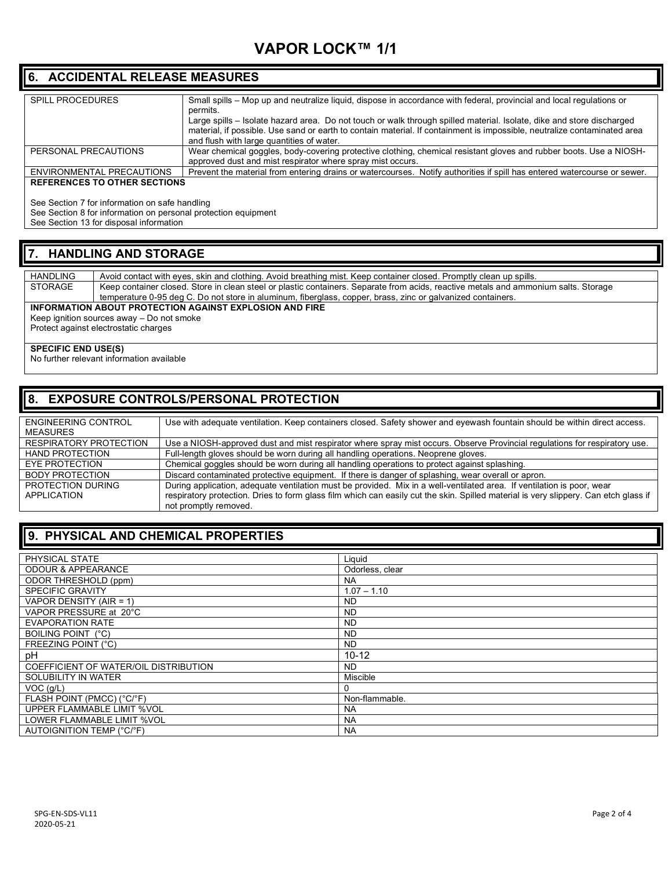# **VAPOR LOCK™ 1/1**

### **6. ACCIDENTAL RELEASE MEASURES**

| <b>SPILL PROCEDURES</b>             | Small spills - Mop up and neutralize liquid, dispose in accordance with federal, provincial and local regulations or     |
|-------------------------------------|--------------------------------------------------------------------------------------------------------------------------|
|                                     |                                                                                                                          |
|                                     | permits.                                                                                                                 |
|                                     | Large spills - Isolate hazard area. Do not touch or walk through spilled material. Isolate, dike and store discharged    |
|                                     | material, if possible. Use sand or earth to contain material. If containment is impossible, neutralize contaminated area |
|                                     | and flush with large quantities of water.                                                                                |
|                                     |                                                                                                                          |
| PERSONAL PRECAUTIONS                | Wear chemical goggles, body-covering protective clothing, chemical resistant gloves and rubber boots. Use a NIOSH-       |
|                                     | approved dust and mist respirator where spray mist occurs.                                                               |
| ENVIRONMENTAL PRECAUTIONS           | Prevent the material from entering drains or watercourses. Notify authorities if spill has entered watercourse or sewer. |
|                                     |                                                                                                                          |
| <b>REFERENCES TO OTHER SECTIONS</b> |                                                                                                                          |

See Section 7 for information on safe handling

See Section 8 for information on personal protection equipment

See Section 13 for disposal information

### **7. HANDLING AND STORAGE**

| HANDLING                                                | Avoid contact with eyes, skin and clothing. Avoid breathing mist. Keep container closed. Promptly clean up spills.                  |  |
|---------------------------------------------------------|-------------------------------------------------------------------------------------------------------------------------------------|--|
|                                                         |                                                                                                                                     |  |
| STORAGE                                                 | Keep container closed. Store in clean steel or plastic containers. Separate from acids, reactive metals and ammonium salts. Storage |  |
|                                                         | temperature 0-95 deg C. Do not store in aluminum, fiberglass, copper, brass, zinc or galvanized containers.                         |  |
| INFORMATION ABOUT PROTECTION AGAINST EXPLOSION AND FIRE |                                                                                                                                     |  |
| Keep ignition sources away – Do not smoke               |                                                                                                                                     |  |
|                                                         | Protect against electrostatic charges                                                                                               |  |

#### **SPECIFIC END USE(S)**

No further relevant information available

### **8. EXPOSURE CONTROLS/PERSONAL PROTECTION**

| ENGINEERING CONTROL    | Use with adequate ventilation. Keep containers closed. Safety shower and eyewash fountain should be within direct access.            |
|------------------------|--------------------------------------------------------------------------------------------------------------------------------------|
| MEASURES               |                                                                                                                                      |
| RESPIRATORY PROTECTION | Use a NIOSH-approved dust and mist respirator where spray mist occurs. Observe Provincial regulations for respiratory use.           |
| <b>HAND PROTECTION</b> | Full-length gloves should be worn during all handling operations. Neoprene gloves.                                                   |
| EYE PROTECTION         | Chemical goggles should be worn during all handling operations to protect against splashing.                                         |
| <b>BODY PROTECTION</b> | Discard contaminated protective equipment. If there is danger of splashing, wear overall or apron.                                   |
| PROTECTION DURING      | During application, adequate ventilation must be provided. Mix in a well-ventilated area. If ventilation is poor, wear               |
| APPLICATION            | respiratory protection. Dries to form glass film which can easily cut the skin. Spilled material is very slippery. Can etch glass if |
|                        | not promptly removed.                                                                                                                |

### **9. PHYSICAL AND CHEMICAL PROPERTIES**

| PHYSICAL STATE                        | Liquid          |
|---------------------------------------|-----------------|
| <b>ODOUR &amp; APPEARANCE</b>         | Odorless, clear |
| <b>ODOR THRESHOLD (ppm)</b>           | <b>NA</b>       |
| <b>SPECIFIC GRAVITY</b>               | $1.07 - 1.10$   |
| VAPOR DENSITY (AIR = 1)               | <b>ND</b>       |
| VAPOR PRESSURE at 20°C                | <b>ND</b>       |
| <b>EVAPORATION RATE</b>               | <b>ND</b>       |
| <b>BOILING POINT (°C)</b>             | <b>ND</b>       |
| FREEZING POINT (°C)                   | <b>ND</b>       |
| рH                                    | $10 - 12$       |
| COEFFICIENT OF WATER/OIL DISTRIBUTION | <b>ND</b>       |
| SOLUBILITY IN WATER                   | Miscible        |
| $VOC$ ( $q/L$ )                       | 0               |
| FLASH POINT (PMCC) (°C/°F)            | Non-flammable.  |
| UPPER FLAMMABLE LIMIT %VOL            | <b>NA</b>       |
| LOWER FLAMMABLE LIMIT %VOL            | <b>NA</b>       |
| AUTOIGNITION TEMP (°C/°F)             | <b>NA</b>       |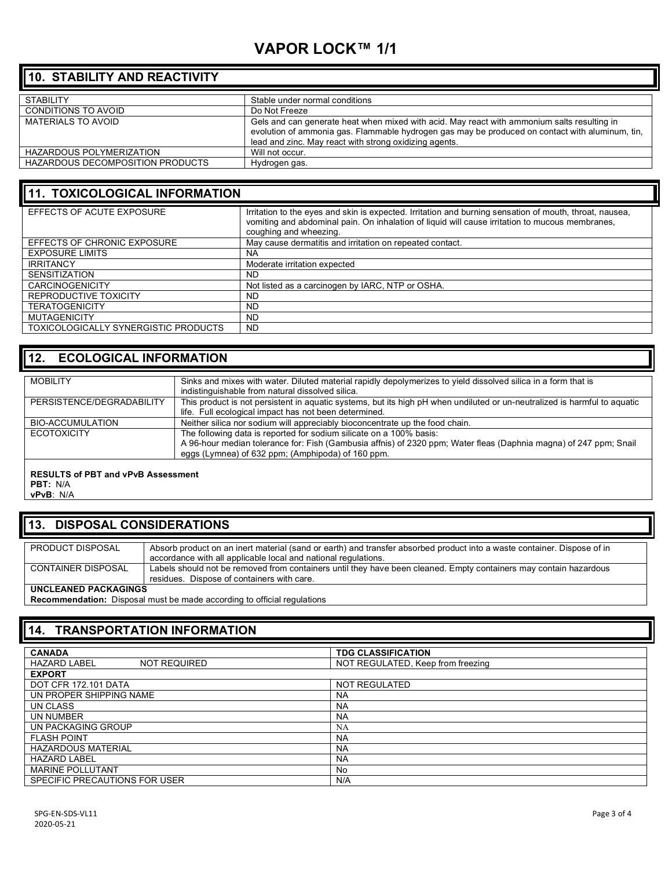# **VAPOR LOCK™ 1/1**

### **10. STABILITY AND REACTIVITY**

| <b>STABILITY</b>                 | Stable under normal conditions                                                                                                                                                                                                                           |
|----------------------------------|----------------------------------------------------------------------------------------------------------------------------------------------------------------------------------------------------------------------------------------------------------|
| <b>CONDITIONS TO AVOID</b>       | Do Not Freeze                                                                                                                                                                                                                                            |
| MATERIALS TO AVOID               | Gels and can generate heat when mixed with acid. May react with ammonium salts resulting in<br>evolution of ammonia gas. Flammable hydrogen gas may be produced on contact with aluminum, tin,<br>lead and zinc. May react with strong oxidizing agents. |
| <b>HAZARDOUS POLYMERIZATION</b>  | Will not occur.                                                                                                                                                                                                                                          |
| HAZARDOUS DECOMPOSITION PRODUCTS | Hydrogen gas.                                                                                                                                                                                                                                            |
|                                  |                                                                                                                                                                                                                                                          |

### **11. TOXICOLOGICAL INFORMATION**

| EFFECTS OF ACUTE EXPOSURE            | Irritation to the eyes and skin is expected. Irritation and burning sensation of mouth, throat, nausea,<br>vomiting and abdominal pain. On inhalation of liquid will cause irritation to mucous membranes,<br>coughing and wheezing. |
|--------------------------------------|--------------------------------------------------------------------------------------------------------------------------------------------------------------------------------------------------------------------------------------|
| EFFECTS OF CHRONIC EXPOSURE          | May cause dermatitis and irritation on repeated contact.                                                                                                                                                                             |
| <b>EXPOSURE LIMITS</b>               | <b>NA</b>                                                                                                                                                                                                                            |
| <b>IRRITANCY</b>                     | Moderate irritation expected                                                                                                                                                                                                         |
| <b>SENSITIZATION</b>                 | <b>ND</b>                                                                                                                                                                                                                            |
| <b>CARCINOGENICITY</b>               | Not listed as a carcinogen by IARC, NTP or OSHA.                                                                                                                                                                                     |
| REPRODUCTIVE TOXICITY                | <b>ND</b>                                                                                                                                                                                                                            |
| <b>TERATOGENICITY</b>                | <b>ND</b>                                                                                                                                                                                                                            |
| <b>MUTAGENICITY</b>                  | <b>ND</b>                                                                                                                                                                                                                            |
| TOXICOLOGICALLY SYNERGISTIC PRODUCTS | <b>ND</b>                                                                                                                                                                                                                            |

### **12. ECOLOGICAL INFORMATION**

| <b>MOBILITY</b>                           | Sinks and mixes with water. Diluted material rapidly depolymerizes to yield dissolved silica in a form that is            |
|-------------------------------------------|---------------------------------------------------------------------------------------------------------------------------|
|                                           | indistinguishable from natural dissolved silica.                                                                          |
| PERSISTENCE/DEGRADABILITY                 | This product is not persistent in aquatic systems, but its high pH when undiluted or un-neutralized is harmful to aquatic |
|                                           | life. Full ecological impact has not been determined.                                                                     |
| BIO-ACCUMULATION                          | Neither silica nor sodium will appreciably bioconcentrate up the food chain.                                              |
| <b>ECOTOXICITY</b>                        | The following data is reported for sodium silicate on a 100% basis:                                                       |
|                                           | A 96-hour median tolerance for: Fish (Gambusia affnis) of 2320 ppm; Water fleas (Daphnia magna) of 247 ppm; Snail         |
|                                           | eggs (Lymnea) of 632 ppm; (Amphipoda) of 160 ppm.                                                                         |
|                                           |                                                                                                                           |
| <b>RESULTS of PBT and vPvB Assessment</b> |                                                                                                                           |

**PBT:** N/A

#### **vPvB**: N/A

### **13. DISPOSAL CONSIDERATIONS**

| PRODUCT DISPOSAL     | Absorb product on an inert material (sand or earth) and transfer absorbed product into a waste container. Dispose of in |
|----------------------|-------------------------------------------------------------------------------------------------------------------------|
|                      |                                                                                                                         |
|                      | accordance with all applicable local and national regulations.                                                          |
| CONTAINER DISPOSAL   | Labels should not be removed from containers until they have been cleaned. Empty containers may contain hazardous       |
|                      | residues. Dispose of containers with care.                                                                              |
| UNCLEANED PACKAGINGS |                                                                                                                         |

**Recommendation:** Disposal must be made according to official regulations

### **14. TRANSPORTATION INFORMATION**

| <b>CANADA</b>                              | <b>TDG CLASSIFICATION</b>         |
|--------------------------------------------|-----------------------------------|
| <b>HAZARD LABEL</b><br><b>NOT REQUIRED</b> | NOT REGULATED, Keep from freezing |
| <b>EXPORT</b>                              |                                   |
| DOT CFR 172.101 DATA                       | <b>NOT REGULATED</b>              |
| UN PROPER SHIPPING NAME                    | <b>NA</b>                         |
| UN CLASS                                   | <b>NA</b>                         |
| UN NUMBER                                  | <b>NA</b>                         |
| UN PACKAGING GROUP                         | NA                                |
| <b>FLASH POINT</b>                         | <b>NA</b>                         |
| <b>HAZARDOUS MATERIAL</b>                  | <b>NA</b>                         |
| <b>HAZARD LABEL</b>                        | <b>NA</b>                         |
| <b>MARINE POLLUTANT</b>                    | No                                |
| SPECIFIC PRECAUTIONS FOR USER              | N/A                               |